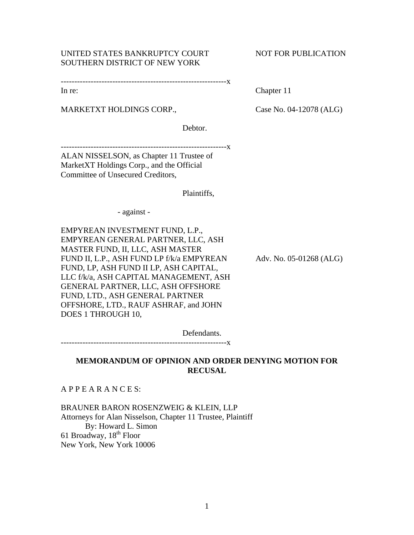# UNITED STATES BANKRUPTCY COURT NOT FOR PUBLICATION SOUTHERN DISTRICT OF NEW YORK

-------------------------------------------------------------x

MARKETXT HOLDINGS CORP., Case No. 04-12078 (ALG)

Debtor.

-------------------------------------------------------------x

ALAN NISSELSON, as Chapter 11 Trustee of MarketXT Holdings Corp., and the Official Committee of Unsecured Creditors,

Plaintiffs,

- against -

EMPYREAN INVESTMENT FUND, L.P., EMPYREAN GENERAL PARTNER, LLC, ASH MASTER FUND, II, LLC, ASH MASTER FUND II, L.P., ASH FUND LP f/k/a EMPYREAN Adv. No. 05-01268 (ALG) FUND, LP, ASH FUND II LP, ASH CAPITAL, LLC f/k/a, ASH CAPITAL MANAGEMENT, ASH GENERAL PARTNER, LLC, ASH OFFSHORE FUND, LTD., ASH GENERAL PARTNER OFFSHORE, LTD., RAUF ASHRAF, and JOHN DOES 1 THROUGH 10,

-------------------------------------------------------------x

Defendants.

**MEMORANDUM OF OPINION AND ORDER DENYING MOTION FOR RECUSAL** 

A P P E A R A N C E S:

BRAUNER BARON ROSENZWEIG & KLEIN, LLP Attorneys for Alan Nisselson, Chapter 11 Trustee, Plaintiff By: Howard L. Simon 61 Broadway, 18<sup>th</sup> Floor New York, New York 10006

In re: Chapter 11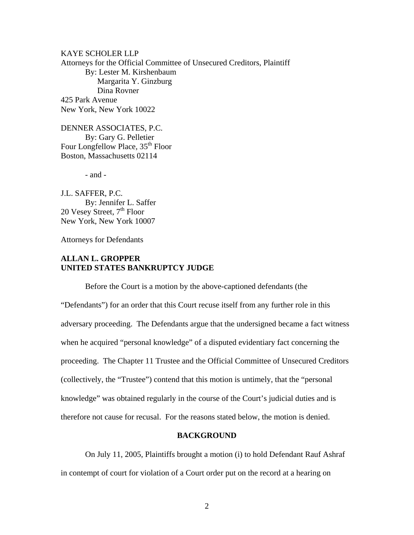KAYE SCHOLER LLP Attorneys for the Official Committee of Unsecured Creditors, Plaintiff By: Lester M. Kirshenbaum Margarita Y. Ginzburg Dina Rovner 425 Park Avenue New York, New York 10022

DENNER ASSOCIATES, P.C. By: Gary G. Pelletier Four Longfellow Place, 35<sup>th</sup> Floor Boston, Massachusetts 02114

- and -

J.L. SAFFER, P.C. By: Jennifer L. Saffer 20 Vesey Street,  $7<sup>th</sup>$  Floor New York, New York 10007

Attorneys for Defendants

# **ALLAN L. GROPPER UNITED STATES BANKRUPTCY JUDGE**

 Before the Court is a motion by the above-captioned defendants (the "Defendants") for an order that this Court recuse itself from any further role in this adversary proceeding. The Defendants argue that the undersigned became a fact witness when he acquired "personal knowledge" of a disputed evidentiary fact concerning the proceeding. The Chapter 11 Trustee and the Official Committee of Unsecured Creditors (collectively, the "Trustee") contend that this motion is untimely, that the "personal knowledge" was obtained regularly in the course of the Court's judicial duties and is therefore not cause for recusal. For the reasons stated below, the motion is denied.

# **BACKGROUND**

 On July 11, 2005, Plaintiffs brought a motion (i) to hold Defendant Rauf Ashraf in contempt of court for violation of a Court order put on the record at a hearing on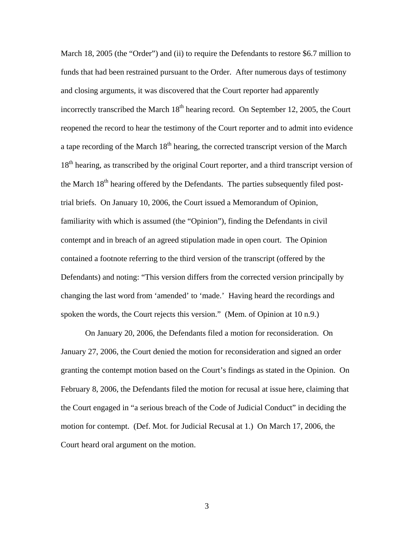March 18, 2005 (the "Order") and (ii) to require the Defendants to restore \$6.7 million to funds that had been restrained pursuant to the Order. After numerous days of testimony and closing arguments, it was discovered that the Court reporter had apparently incorrectly transcribed the March  $18<sup>th</sup>$  hearing record. On September 12, 2005, the Court reopened the record to hear the testimony of the Court reporter and to admit into evidence a tape recording of the March  $18<sup>th</sup>$  hearing, the corrected transcript version of the March 18<sup>th</sup> hearing, as transcribed by the original Court reporter, and a third transcript version of the March  $18<sup>th</sup>$  hearing offered by the Defendants. The parties subsequently filed posttrial briefs. On January 10, 2006, the Court issued a Memorandum of Opinion, familiarity with which is assumed (the "Opinion"), finding the Defendants in civil contempt and in breach of an agreed stipulation made in open court. The Opinion contained a footnote referring to the third version of the transcript (offered by the Defendants) and noting: "This version differs from the corrected version principally by changing the last word from 'amended' to 'made.' Having heard the recordings and spoken the words, the Court rejects this version." (Mem. of Opinion at 10 n.9.)

On January 20, 2006, the Defendants filed a motion for reconsideration. On January 27, 2006, the Court denied the motion for reconsideration and signed an order granting the contempt motion based on the Court's findings as stated in the Opinion. On February 8, 2006, the Defendants filed the motion for recusal at issue here, claiming that the Court engaged in "a serious breach of the Code of Judicial Conduct" in deciding the motion for contempt. (Def. Mot. for Judicial Recusal at 1.) On March 17, 2006, the Court heard oral argument on the motion.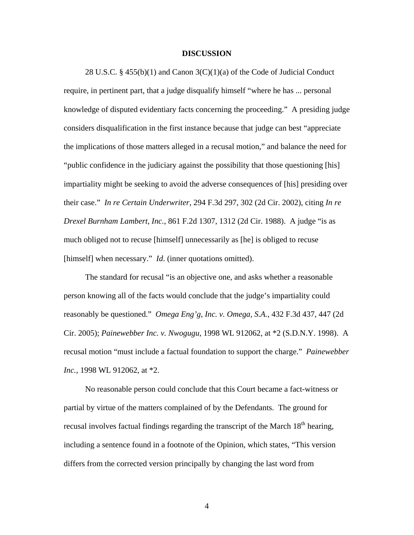## **DISCUSSION**

 28 U.S.C. § 455(b)(1) and Canon 3(C)(1)(a) of the Code of Judicial Conduct require, in pertinent part, that a judge disqualify himself "where he has ... personal knowledge of disputed evidentiary facts concerning the proceeding." A presiding judge considers disqualification in the first instance because that judge can best "appreciate the implications of those matters alleged in a recusal motion," and balance the need for "public confidence in the judiciary against the possibility that those questioning [his] impartiality might be seeking to avoid the adverse consequences of [his] presiding over their case." *In re Certain Underwriter*, 294 F.3d 297, 302 (2d Cir. 2002), citing *In re Drexel Burnham Lambert, Inc.*, 861 F.2d 1307, 1312 (2d Cir. 1988). A judge "is as much obliged not to recuse [himself] unnecessarily as [he] is obliged to recuse [himself] when necessary." *Id.* (inner quotations omitted).

The standard for recusal "is an objective one, and asks whether a reasonable person knowing all of the facts would conclude that the judge's impartiality could reasonably be questioned." *Omega Eng'g, Inc. v. Omega, S.A.*, 432 F.3d 437, 447 (2d Cir. 2005); *Painewebber Inc. v. Nwogugu*, 1998 WL 912062, at \*2 (S.D.N.Y. 1998). A recusal motion "must include a factual foundation to support the charge." *Painewebber Inc.*, 1998 WL 912062, at \*2.

No reasonable person could conclude that this Court became a fact-witness or partial by virtue of the matters complained of by the Defendants. The ground for recusal involves factual findings regarding the transcript of the March 18<sup>th</sup> hearing, including a sentence found in a footnote of the Opinion, which states, "This version differs from the corrected version principally by changing the last word from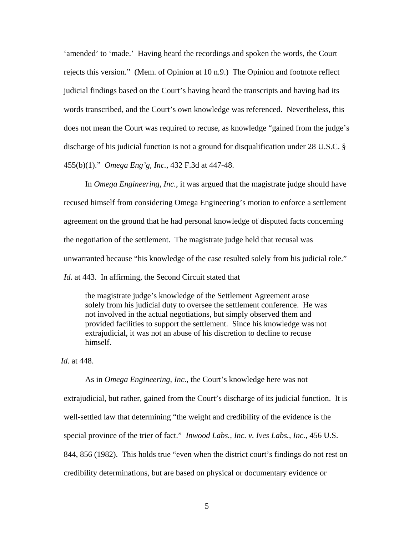'amended' to 'made.' Having heard the recordings and spoken the words, the Court rejects this version." (Mem. of Opinion at 10 n.9.) The Opinion and footnote reflect judicial findings based on the Court's having heard the transcripts and having had its words transcribed, and the Court's own knowledge was referenced. Nevertheless, this does not mean the Court was required to recuse, as knowledge "gained from the judge's discharge of his judicial function is not a ground for disqualification under 28 U.S.C. § 455(b)(1)." *Omega Eng'g, Inc.*, 432 F.3d at 447-48.

In *Omega Engineering, Inc.*, it was argued that the magistrate judge should have recused himself from considering Omega Engineering's motion to enforce a settlement agreement on the ground that he had personal knowledge of disputed facts concerning the negotiation of the settlement. The magistrate judge held that recusal was unwarranted because "his knowledge of the case resulted solely from his judicial role." *Id*. at 443. In affirming, the Second Circuit stated that

the magistrate judge's knowledge of the Settlement Agreement arose solely from his judicial duty to oversee the settlement conference. He was not involved in the actual negotiations, but simply observed them and provided facilities to support the settlement. Since his knowledge was not extrajudicial, it was not an abuse of his discretion to decline to recuse himself.

*Id*. at 448.

As in *Omega Engineering, Inc.*, the Court's knowledge here was not extrajudicial, but rather, gained from the Court's discharge of its judicial function. It is well-settled law that determining "the weight and credibility of the evidence is the special province of the trier of fact." *Inwood Labs., Inc. v. Ives Labs., Inc.*, 456 U.S. 844, 856 (1982). This holds true "even when the district court's findings do not rest on credibility determinations, but are based on physical or documentary evidence or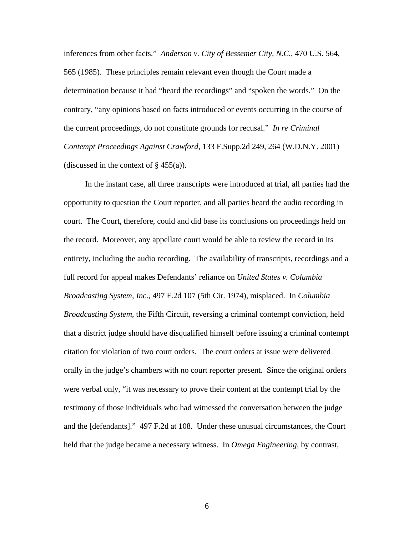inferences from other facts." *Anderson v. City of Bessemer City, N.C.*, 470 U.S. 564, 565 (1985). These principles remain relevant even though the Court made a determination because it had "heard the recordings" and "spoken the words." On the contrary, "any opinions based on facts introduced or events occurring in the course of the current proceedings, do not constitute grounds for recusal." *In re Criminal Contempt Proceedings Against Crawford*, 133 F.Supp.2d 249, 264 (W.D.N.Y. 2001) (discussed in the context of  $\S$  455(a)).

In the instant case, all three transcripts were introduced at trial, all parties had the opportunity to question the Court reporter, and all parties heard the audio recording in court. The Court, therefore, could and did base its conclusions on proceedings held on the record. Moreover, any appellate court would be able to review the record in its entirety, including the audio recording. The availability of transcripts, recordings and a full record for appeal makes Defendants' reliance on *United States v. Columbia Broadcasting System, Inc.*, 497 F.2d 107 (5th Cir. 1974), misplaced. In *Columbia Broadcasting System*, the Fifth Circuit, reversing a criminal contempt conviction, held that a district judge should have disqualified himself before issuing a criminal contempt citation for violation of two court orders. The court orders at issue were delivered orally in the judge's chambers with no court reporter present. Since the original orders were verbal only, "it was necessary to prove their content at the contempt trial by the testimony of those individuals who had witnessed the conversation between the judge and the [defendants]." 497 F.2d at 108. Under these unusual circumstances, the Court held that the judge became a necessary witness. In *Omega Engineering*, by contrast,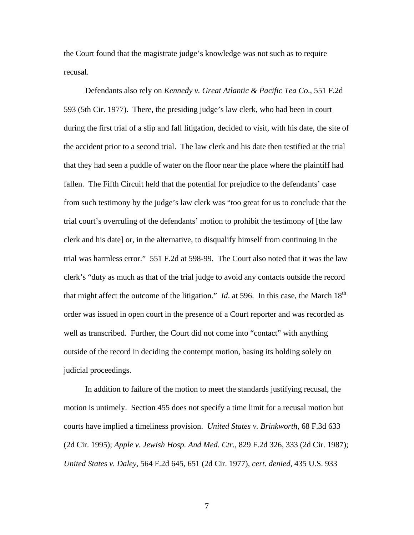the Court found that the magistrate judge's knowledge was not such as to require recusal.

Defendants also rely on *Kennedy v. Great Atlantic & Pacific Tea Co*., 551 F.2d 593 (5th Cir. 1977). There, the presiding judge's law clerk, who had been in court during the first trial of a slip and fall litigation, decided to visit, with his date, the site of the accident prior to a second trial. The law clerk and his date then testified at the trial that they had seen a puddle of water on the floor near the place where the plaintiff had fallen. The Fifth Circuit held that the potential for prejudice to the defendants' case from such testimony by the judge's law clerk was "too great for us to conclude that the trial court's overruling of the defendants' motion to prohibit the testimony of [the law clerk and his date] or, in the alternative, to disqualify himself from continuing in the trial was harmless error." 551 F.2d at 598-99. The Court also noted that it was the law clerk's "duty as much as that of the trial judge to avoid any contacts outside the record that might affect the outcome of the litigation." *Id.* at 596. In this case, the March  $18<sup>th</sup>$ order was issued in open court in the presence of a Court reporter and was recorded as well as transcribed. Further, the Court did not come into "contact" with anything outside of the record in deciding the contempt motion, basing its holding solely on judicial proceedings.

In addition to failure of the motion to meet the standards justifying recusal, the motion is untimely. Section 455 does not specify a time limit for a recusal motion but courts have implied a timeliness provision. *United States v. Brinkworth*, 68 F.3d 633 (2d Cir. 1995); *Apple v. Jewish Hosp. And Med. Ctr.*, 829 F.2d 326, 333 (2d Cir. 1987); *United States v. Daley*, 564 F.2d 645, 651 (2d Cir. 1977), *cert. denied*, 435 U.S. 933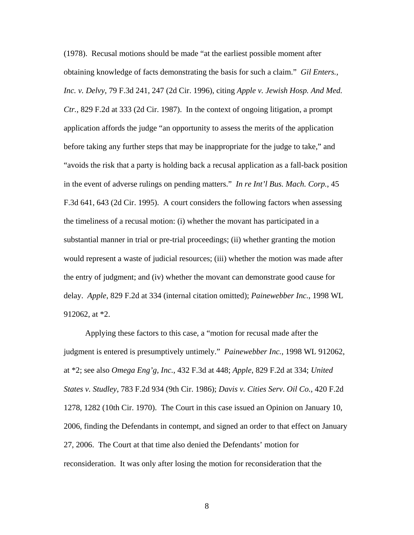(1978). Recusal motions should be made "at the earliest possible moment after obtaining knowledge of facts demonstrating the basis for such a claim." *Gil Enters., Inc. v. Delvy*, 79 F.3d 241, 247 (2d Cir. 1996), citing *Apple v. Jewish Hosp. And Med. Ctr.*, 829 F.2d at 333 (2d Cir. 1987). In the context of ongoing litigation, a prompt application affords the judge "an opportunity to assess the merits of the application before taking any further steps that may be inappropriate for the judge to take," and "avoids the risk that a party is holding back a recusal application as a fall-back position in the event of adverse rulings on pending matters." *In re Int'l Bus. Mach. Corp.*, 45 F.3d 641, 643 (2d Cir. 1995). A court considers the following factors when assessing the timeliness of a recusal motion: (i) whether the movant has participated in a substantial manner in trial or pre-trial proceedings; (ii) whether granting the motion would represent a waste of judicial resources; (iii) whether the motion was made after the entry of judgment; and (iv) whether the movant can demonstrate good cause for delay. *Apple*, 829 F.2d at 334 (internal citation omitted); *Painewebber Inc.*, 1998 WL 912062, at \*2.

Applying these factors to this case, a "motion for recusal made after the judgment is entered is presumptively untimely." *Painewebber Inc.*, 1998 WL 912062, at \*2; see also *Omega Eng'g, Inc.*, 432 F.3d at 448; *Apple*, 829 F.2d at 334; *United States v. Studley*, 783 F.2d 934 (9th Cir. 1986); *Davis v. Cities Serv. Oil Co.*, 420 F.2d 1278, 1282 (10th Cir. 1970). The Court in this case issued an Opinion on January 10, 2006, finding the Defendants in contempt, and signed an order to that effect on January 27, 2006. The Court at that time also denied the Defendants' motion for reconsideration. It was only after losing the motion for reconsideration that the